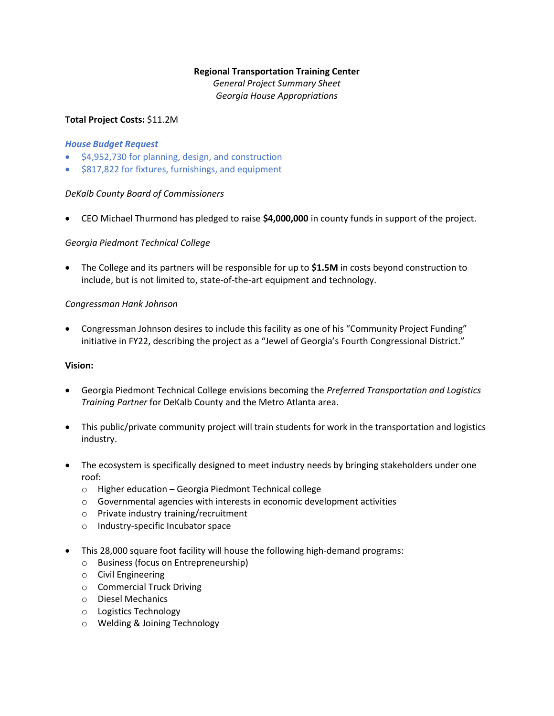# **Regional Transportation Training Center**

*General Project Summary Sheet Georgia House Appropriations*

# **Total Project Costs:** \$11.2M

#### *House Budget Request*

- \$4,952,730 for planning, design, and construction
- \$817,822 for fixtures, furnishings, and equipment

## *DeKalb County Board of Commissioners*

• CEO Michael Thurmond has pledged to raise **\$4,000,000** in county funds in support of the project.

## *Georgia Piedmont Technical College*

• The College and its partners will be responsible for up to **\$1.5M** in costs beyond construction to include, but is not limited to, state-of-the-art equipment and technology.

## *Congressman Hank Johnson*

• Congressman Johnson desires to include this facility as one of his "Community Project Funding" initiative in FY22, describing the project as a "Jewel of Georgia's Fourth Congressional District."

#### **Vision:**

- Georgia Piedmont Technical College envisions becoming the *Preferred Transportation and Logistics Training Partner* for DeKalb County and the Metro Atlanta area.
- This public/private community project will train students for work in the transportation and logistics industry.
- The ecosystem is specifically designed to meet industry needs by bringing stakeholders under one roof:
	- o Higher education Georgia Piedmont Technical college
	- o Governmental agencies with interests in economic development activities
	- o Private industry training/recruitment
	- o Industry-specific Incubator space
- This 28,000 square foot facility will house the following high-demand programs:
	- o Business (focus on Entrepreneurship)
	- o Civil Engineering
	- o Commercial Truck Driving
	- o Diesel Mechanics
	- o Logistics Technology
	- o Welding & Joining Technology